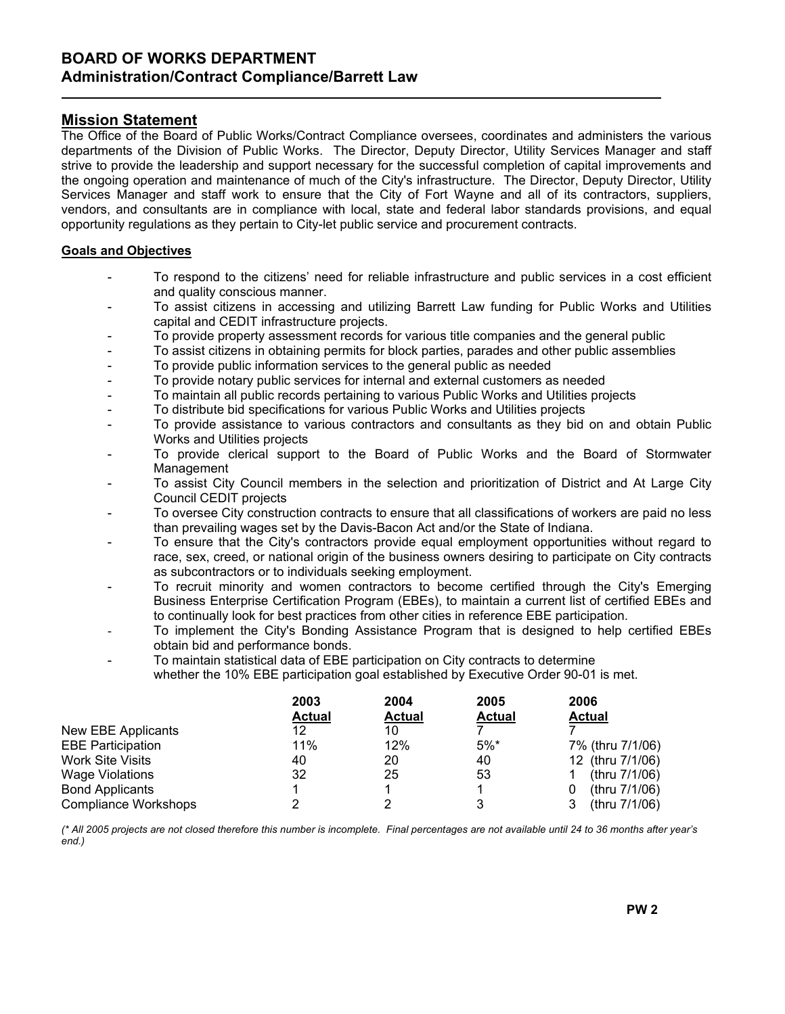# BOARD OF WORKS DEPARTMENT Administration/Contract Compliance/Barrett Law

### Mission Statement

The Office of the Board of Public Works/Contract Compliance oversees, coordinates and administers the various departments of the Division of Public Works. The Director, Deputy Director, Utility Services Manager and staff strive to provide the leadership and support necessary for the successful completion of capital improvements and the ongoing operation and maintenance of much of the City's infrastructure. The Director, Deputy Director, Utility Services Manager and staff work to ensure that the City of Fort Wayne and all of its contractors, suppliers, vendors, and consultants are in compliance with local, state and federal labor standards provisions, and equal opportunity regulations as they pertain to City-let public service and procurement contracts.

### Goals and Objectives

- To respond to the citizens' need for reliable infrastructure and public services in a cost efficient and quality conscious manner.
- To assist citizens in accessing and utilizing Barrett Law funding for Public Works and Utilities capital and CEDIT infrastructure projects.
- To provide property assessment records for various title companies and the general public
- To assist citizens in obtaining permits for block parties, parades and other public assemblies
- To provide public information services to the general public as needed
- To provide notary public services for internal and external customers as needed
- To maintain all public records pertaining to various Public Works and Utilities projects
- To distribute bid specifications for various Public Works and Utilities projects
- To provide assistance to various contractors and consultants as they bid on and obtain Public Works and Utilities projects
- To provide clerical support to the Board of Public Works and the Board of Stormwater Management
- To assist City Council members in the selection and prioritization of District and At Large City Council CEDIT projects
- To oversee City construction contracts to ensure that all classifications of workers are paid no less than prevailing wages set by the Davis-Bacon Act and/or the State of Indiana.
- To ensure that the City's contractors provide equal employment opportunities without regard to race, sex, creed, or national origin of the business owners desiring to participate on City contracts as subcontractors or to individuals seeking employment.
- To recruit minority and women contractors to become certified through the City's Emerging Business Enterprise Certification Program (EBEs), to maintain a current list of certified EBEs and to continually look for best practices from other cities in reference EBE participation.
- To implement the City's Bonding Assistance Program that is designed to help certified EBEs obtain bid and performance bonds.
- To maintain statistical data of EBE participation on City contracts to determine whether the 10% EBE participation goal established by Executive Order 90-01 is met.

|                             | 2003          | 2004          | 2005          | 2006             |
|-----------------------------|---------------|---------------|---------------|------------------|
|                             | <b>Actual</b> | <b>Actual</b> | <b>Actual</b> | <b>Actual</b>    |
| New EBE Applicants          | 12            | 10            |               |                  |
| <b>EBE Participation</b>    | 11%           | 12%           | $5\%$ *       | 7% (thru 7/1/06) |
| <b>Work Site Visits</b>     | 40            | 20            | 40            | 12 (thru 7/1/06) |
| <b>Wage Violations</b>      | 32            | 25            | 53            | (thru 7/1/06)    |
| <b>Bond Applicants</b>      |               |               |               | (thru $7/1/06$ ) |
| <b>Compliance Workshops</b> |               |               |               | (thru $7/1/06$ ) |

(\* All 2005 projects are not closed therefore this number is incomplete. Final percentages are not available until 24 to 36 months after year's end.)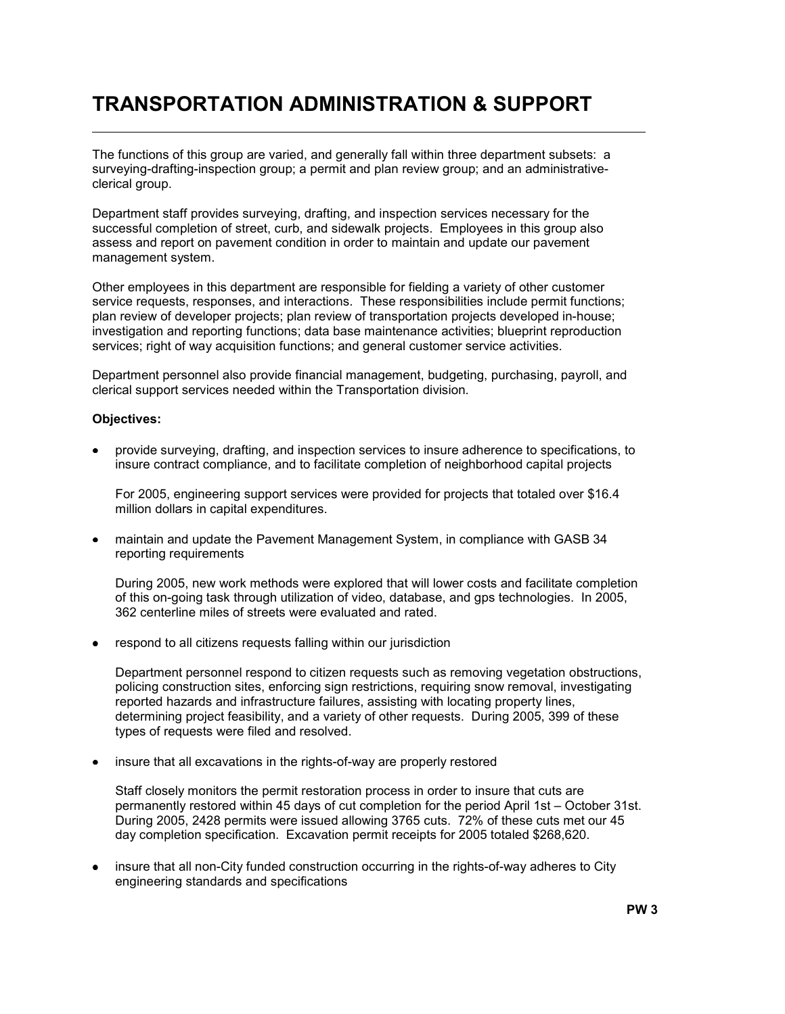# TRANSPORTATION ADMINISTRATION & SUPPORT

The functions of this group are varied, and generally fall within three department subsets: a surveying-drafting-inspection group; a permit and plan review group; and an administrativeclerical group.

Department staff provides surveying, drafting, and inspection services necessary for the successful completion of street, curb, and sidewalk projects. Employees in this group also assess and report on pavement condition in order to maintain and update our pavement management system.

Other employees in this department are responsible for fielding a variety of other customer service requests, responses, and interactions. These responsibilities include permit functions; plan review of developer projects; plan review of transportation projects developed in-house; investigation and reporting functions; data base maintenance activities; blueprint reproduction services; right of way acquisition functions; and general customer service activities.

Department personnel also provide financial management, budgeting, purchasing, payroll, and clerical support services needed within the Transportation division.

### Objectives:

• provide surveying, drafting, and inspection services to insure adherence to specifications, to insure contract compliance, and to facilitate completion of neighborhood capital projects

For 2005, engineering support services were provided for projects that totaled over \$16.4 million dollars in capital expenditures.

• maintain and update the Pavement Management System, in compliance with GASB 34 reporting requirements

During 2005, new work methods were explored that will lower costs and facilitate completion of this on-going task through utilization of video, database, and gps technologies. In 2005, 362 centerline miles of streets were evaluated and rated.

• respond to all citizens requests falling within our jurisdiction

Department personnel respond to citizen requests such as removing vegetation obstructions, policing construction sites, enforcing sign restrictions, requiring snow removal, investigating reported hazards and infrastructure failures, assisting with locating property lines, determining project feasibility, and a variety of other requests. During 2005, 399 of these types of requests were filed and resolved.

• insure that all excavations in the rights-of-way are properly restored

Staff closely monitors the permit restoration process in order to insure that cuts are permanently restored within 45 days of cut completion for the period April 1st – October 31st. During 2005, 2428 permits were issued allowing 3765 cuts. 72% of these cuts met our 45 day completion specification. Excavation permit receipts for 2005 totaled \$268,620.

• insure that all non-City funded construction occurring in the rights-of-way adheres to City engineering standards and specifications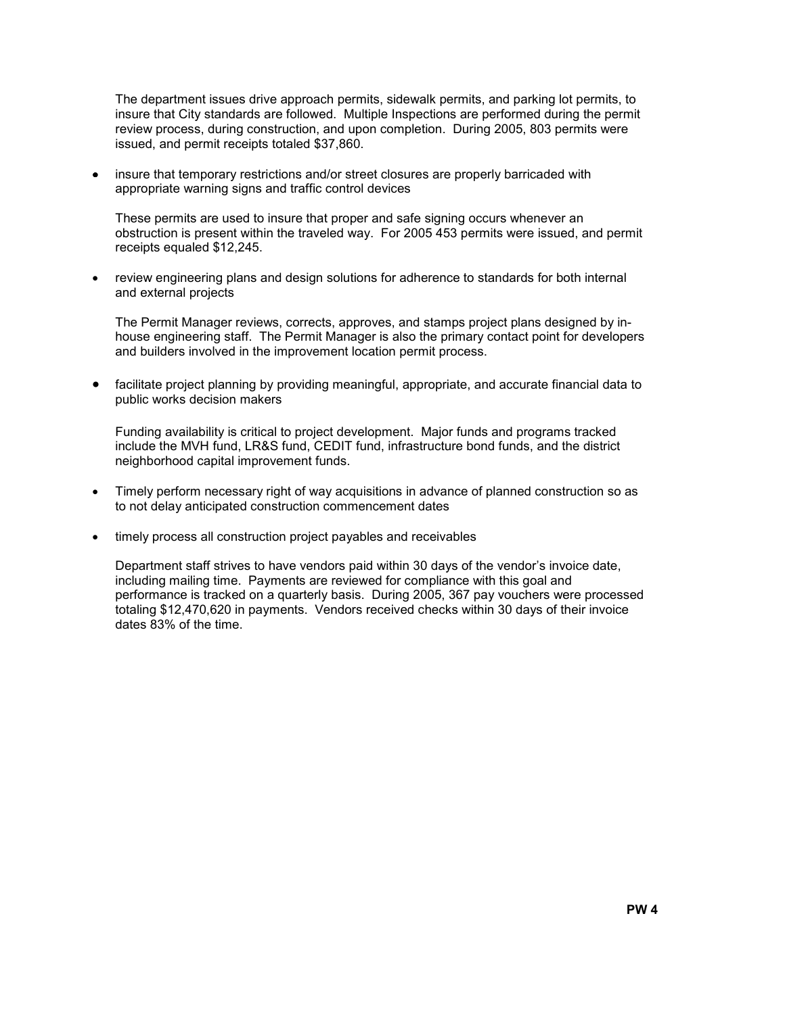The department issues drive approach permits, sidewalk permits, and parking lot permits, to insure that City standards are followed. Multiple Inspections are performed during the permit review process, during construction, and upon completion. During 2005, 803 permits were issued, and permit receipts totaled \$37,860.

• insure that temporary restrictions and/or street closures are properly barricaded with appropriate warning signs and traffic control devices

These permits are used to insure that proper and safe signing occurs whenever an obstruction is present within the traveled way. For 2005 453 permits were issued, and permit receipts equaled \$12,245.

• review engineering plans and design solutions for adherence to standards for both internal and external projects

The Permit Manager reviews, corrects, approves, and stamps project plans designed by inhouse engineering staff. The Permit Manager is also the primary contact point for developers and builders involved in the improvement location permit process.

• facilitate project planning by providing meaningful, appropriate, and accurate financial data to public works decision makers

Funding availability is critical to project development. Major funds and programs tracked include the MVH fund, LR&S fund, CEDIT fund, infrastructure bond funds, and the district neighborhood capital improvement funds.

- Timely perform necessary right of way acquisitions in advance of planned construction so as to not delay anticipated construction commencement dates
- timely process all construction project payables and receivables

Department staff strives to have vendors paid within 30 days of the vendor's invoice date, including mailing time. Payments are reviewed for compliance with this goal and performance is tracked on a quarterly basis. During 2005, 367 pay vouchers were processed totaling \$12,470,620 in payments. Vendors received checks within 30 days of their invoice dates 83% of the time.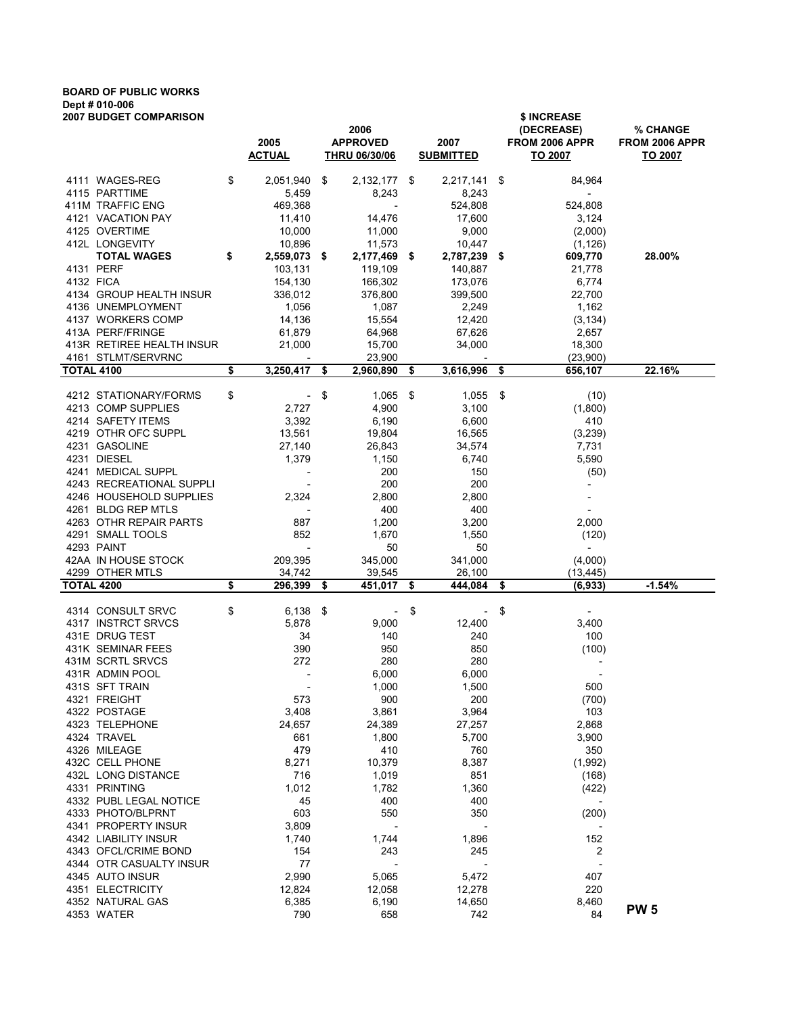# BOARD OF PUBLIC WORKS Dept # 010-006

|                   | <b>2007 BUDGET COMPARISON</b>                   |                          |      |                      |     |                   | \$ INCREASE                |                 |
|-------------------|-------------------------------------------------|--------------------------|------|----------------------|-----|-------------------|----------------------------|-----------------|
|                   |                                                 |                          |      | 2006                 |     |                   | (DECREASE)                 | <b>% CHANGE</b> |
|                   |                                                 | 2005                     |      | <b>APPROVED</b>      |     | 2007              | FROM 2006 APPR             | FROM 2006 APPR  |
|                   |                                                 | <b>ACTUAL</b>            |      | <b>THRU 06/30/06</b> |     | <b>SUBMITTED</b>  | TO 2007                    | TO 2007         |
|                   | 4111 WAGES-REG                                  | \$<br>2,051,940          | - \$ | 2,132,177 \$         |     | 2,217,141 \$      | 84,964                     |                 |
|                   | 4115 PARTTIME                                   | 5,459                    |      | 8,243                |     | 8,243             |                            |                 |
|                   | 411M TRAFFIC ENG                                | 469,368                  |      |                      |     | 524,808           | 524,808                    |                 |
|                   | 4121 VACATION PAY                               | 11,410                   |      | 14,476               |     | 17,600            | 3,124                      |                 |
|                   | 4125 OVERTIME                                   | 10,000                   |      | 11,000               |     | 9,000             | (2,000)                    |                 |
|                   | 412L LONGEVITY                                  | 10,896                   |      | 11,573               |     | 10,447            | (1, 126)                   |                 |
|                   | <b>TOTAL WAGES</b>                              | \$<br>2,559,073 \$       |      | 2,177,469 \$         |     | 2,787,239 \$      | 609,770                    | 28.00%          |
|                   | 4131 PERF                                       | 103,131                  |      | 119,109              |     | 140,887           | 21,778                     |                 |
|                   | 4132 FICA                                       | 154,130                  |      | 166,302              |     | 173,076           | 6,774                      |                 |
|                   | 4134 GROUP HEALTH INSUR                         | 336,012                  |      | 376,800              |     | 399,500           | 22,700                     |                 |
|                   | 4136 UNEMPLOYMENT                               | 1,056                    |      | 1,087                |     | 2,249             | 1,162                      |                 |
|                   | 4137 WORKERS COMP                               | 14,136                   |      | 15,554               |     | 12,420            | (3, 134)                   |                 |
|                   | 413A PERF/FRINGE                                | 61,879                   |      | 64,968               |     | 67,626            | 2,657                      |                 |
|                   | 413R RETIREE HEALTH INSUR<br>4161 STLMT/SERVRNC | 21,000                   |      | 15,700<br>23,900     |     | 34,000            | 18,300<br>(23,900)         |                 |
| <b>TOTAL 4100</b> |                                                 | \$<br>3,250,417          | - \$ | 2,960,890            | \$  | 3,616,996         | \$<br>656,107              | 22.16%          |
|                   |                                                 |                          |      |                      |     |                   |                            |                 |
|                   | 4212 STATIONARY/FORMS                           | \$                       | \$   | 1,065                | -\$ | $1,055$ \$        | (10)                       |                 |
|                   | 4213 COMP SUPPLIES                              | 2,727                    |      | 4,900                |     | 3,100             | (1,800)                    |                 |
|                   | 4214 SAFETY ITEMS                               | 3,392                    |      | 6,190                |     | 6,600             | 410                        |                 |
|                   | 4219 OTHR OFC SUPPL                             | 13,561                   |      | 19,804               |     | 16,565            | (3,239)                    |                 |
|                   | 4231 GASOLINE                                   | 27,140                   |      | 26,843               |     | 34,574            | 7,731                      |                 |
|                   | 4231 DIESEL                                     | 1,379                    |      | 1,150                |     | 6,740             | 5,590                      |                 |
|                   | 4241 MEDICAL SUPPL                              |                          |      | 200                  |     | 150               | (50)                       |                 |
|                   | 4243 RECREATIONAL SUPPLI                        |                          |      | 200                  |     | 200               |                            |                 |
|                   | 4246 HOUSEHOLD SUPPLIES                         | 2,324                    |      | 2,800                |     | 2,800             |                            |                 |
|                   | 4261 BLDG REP MTLS                              |                          |      | 400                  |     | 400               |                            |                 |
|                   | 4263 OTHR REPAIR PARTS                          | 887                      |      | 1,200                |     | 3,200             | 2,000                      |                 |
|                   | 4291 SMALL TOOLS                                | 852                      |      | 1,670                |     | 1,550             | (120)                      |                 |
|                   | 4293 PAINT                                      | $\overline{\phantom{a}}$ |      | 50                   |     | 50                | $\overline{\phantom{a}}$   |                 |
|                   | 42AA IN HOUSE STOCK                             | 209,395                  |      | 345,000              |     | 341,000           | (4,000)                    |                 |
| <b>TOTAL 4200</b> | 4299 OTHER MTLS                                 | \$<br>34,742<br>296,399  | - \$ | 39,545<br>451,017    | \$  | 26,100<br>444,084 | \$<br>(13, 445)<br>(6,933) | $-1.54%$        |
|                   |                                                 |                          |      |                      |     |                   |                            |                 |
|                   | 4314 CONSULT SRVC                               | \$<br>$6,138$ \$         |      |                      | \$  |                   | \$                         |                 |
|                   | 4317 INSTRCT SRVCS                              | 5,878                    |      | 9,000                |     | 12,400            | 3,400                      |                 |
|                   | 431E DRUG TEST                                  | 34                       |      | 140                  |     | 240               | 100                        |                 |
|                   | 431K SEMINAR FEES                               | 390                      |      | 950                  |     | 850               | (100)                      |                 |
|                   | 431M SCRTL SRVCS                                | 272                      |      | 280                  |     | 280               |                            |                 |
|                   | 431R ADMIN POOL                                 | $\overline{\phantom{a}}$ |      | 6,000                |     | 6,000             |                            |                 |
|                   | 431S SFT TRAIN                                  |                          |      | 1,000                |     | 1,500             | 500                        |                 |
|                   | 4321 FREIGHT                                    | 573                      |      | 900                  |     | 200               | (700)                      |                 |
|                   | 4322 POSTAGE                                    | 3,408                    |      | 3,861                |     | 3,964             | 103                        |                 |
|                   | 4323 TELEPHONE                                  | 24,657                   |      | 24,389               |     | 27,257            | 2,868                      |                 |
|                   | 4324 TRAVEL<br>4326 MILEAGE                     | 661<br>479               |      | 1,800<br>410         |     | 5,700<br>760      | 3,900<br>350               |                 |
|                   | 432C CELL PHONE                                 | 8,271                    |      | 10,379               |     | 8,387             | (1,992)                    |                 |
|                   | 432L LONG DISTANCE                              | 716                      |      | 1,019                |     | 851               | (168)                      |                 |
|                   | 4331 PRINTING                                   | 1,012                    |      | 1,782                |     | 1,360             | (422)                      |                 |
|                   | 4332 PUBL LEGAL NOTICE                          | 45                       |      | 400                  |     | 400               | $\overline{\phantom{a}}$   |                 |
|                   | 4333 PHOTO/BLPRNT                               | 603                      |      | 550                  |     | 350               | (200)                      |                 |
|                   | 4341 PROPERTY INSUR                             | 3,809                    |      |                      |     |                   |                            |                 |
|                   | 4342 LIABILITY INSUR                            | 1,740                    |      | 1,744                |     | 1,896             | 152                        |                 |
|                   | 4343 OFCL/CRIME BOND                            | 154                      |      | 243                  |     | 245               | 2                          |                 |
|                   | 4344 OTR CASUALTY INSUR                         | 77                       |      |                      |     |                   | $\overline{\phantom{a}}$   |                 |
|                   | 4345 AUTO INSUR                                 | 2,990                    |      | 5,065                |     | 5,472             | 407                        |                 |
|                   | 4351 ELECTRICITY                                | 12,824                   |      | 12,058               |     | 12,278            | 220                        |                 |
|                   | 4352 NATURAL GAS                                | 6,385                    |      | 6,190                |     | 14,650            | 8,460                      |                 |
|                   | 4353 WATER                                      | 790                      |      | 658                  |     | 742               | 84                         | <b>PW 5</b>     |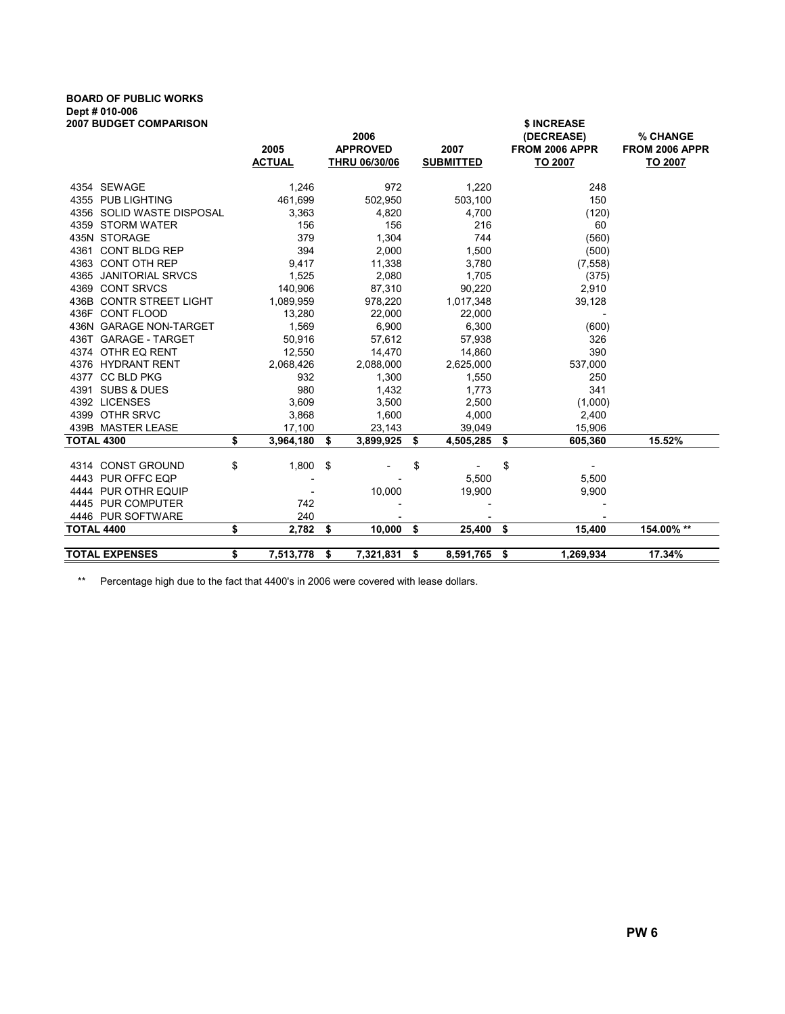# BOARD OF PUBLIC WORKS Dept # 010-006

| <b>2007 BUDGET COMPARISON</b> |                  |                 |                    | \$ INCREASE    |                |
|-------------------------------|------------------|-----------------|--------------------|----------------|----------------|
|                               |                  | 2006            |                    | (DECREASE)     | % CHANGE       |
|                               | 2005             | <b>APPROVED</b> | 2007               | FROM 2006 APPR | FROM 2006 APPR |
|                               | <b>ACTUAL</b>    | THRU 06/30/06   | <b>SUBMITTED</b>   | TO 2007        | TO 2007        |
| 4354 SEWAGE                   | 1,246            | 972             | 1,220              | 248            |                |
| 4355 PUB LIGHTING             | 461,699          | 502,950         | 503,100            | 150            |                |
| 4356 SOLID WASTE DISPOSAL     | 3,363            | 4,820           | 4,700              | (120)          |                |
| 4359 STORM WATER              | 156              | 156             | 216                | 60             |                |
| 435N STORAGE                  | 379              | 1,304           | 744                | (560)          |                |
| 4361 CONT BLDG REP            | 394              | 2,000           | 1,500              | (500)          |                |
| 4363 CONT OTH REP             | 9,417            | 11,338          | 3,780              | (7, 558)       |                |
| 4365 JANITORIAL SRVCS         | 1,525            | 2,080           | 1,705              | (375)          |                |
| 4369 CONT SRVCS               | 140,906          | 87,310          | 90,220             | 2,910          |                |
| 436B CONTR STREET LIGHT       | 1,089,959        | 978,220         | 1,017,348          | 39,128         |                |
| 436F CONT FLOOD               | 13,280           | 22,000          | 22,000             |                |                |
| 436N GARAGE NON-TARGET        | 1,569            | 6,900           | 6,300              | (600)          |                |
| 436T GARAGE - TARGET          | 50,916           | 57,612          | 57,938             | 326            |                |
| 4374 OTHR EQ RENT             | 12,550           | 14,470          | 14,860             | 390            |                |
| 4376 HYDRANT RENT             | 2,068,426        | 2,088,000       | 2,625,000          | 537,000        |                |
| 4377 CC BLD PKG               | 932              | 1,300           | 1,550              | 250            |                |
| 4391 SUBS & DUES              | 980              | 1,432           | 1,773              | 341            |                |
| 4392 LICENSES                 | 3,609            | 3,500           | 2,500              | (1,000)        |                |
| 4399 OTHR SRVC                | 3,868            | 1,600           | 4,000              | 2,400          |                |
| 439B MASTER LEASE             | 17,100           | 23,143          | 39,049             | 15,906         |                |
| <b>TOTAL 4300</b>             | \$<br>3,964,180  | \$<br>3,899,925 | \$<br>4,505,285    | \$<br>605,360  | 15.52%         |
| 4314 CONST GROUND             | \$<br>$1,800$ \$ |                 | \$                 | \$             |                |
| 4443 PUR OFFC EQP             |                  |                 | 5,500              | 5,500          |                |
| 4444 PUR OTHR EQUIP           |                  | 10,000          | 19,900             | 9,900          |                |
| 4445 PUR COMPUTER             | 742              |                 |                    |                |                |
| 4446 PUR SOFTWARE             | 240              |                 |                    |                |                |
| <b>TOTAL 4400</b>             | \$<br>2,782      | \$<br>10.000    | \$<br>25,400       | \$<br>15.400   | 154.00% **     |
|                               |                  |                 |                    |                |                |
| <b>TOTAL EXPENSES</b>         | \$<br>7,513,778  | \$<br>7,321,831 | \$<br>8,591,765 \$ | 1,269,934      | 17.34%         |

\*\* Percentage high due to the fact that 4400's in 2006 were covered with lease dollars.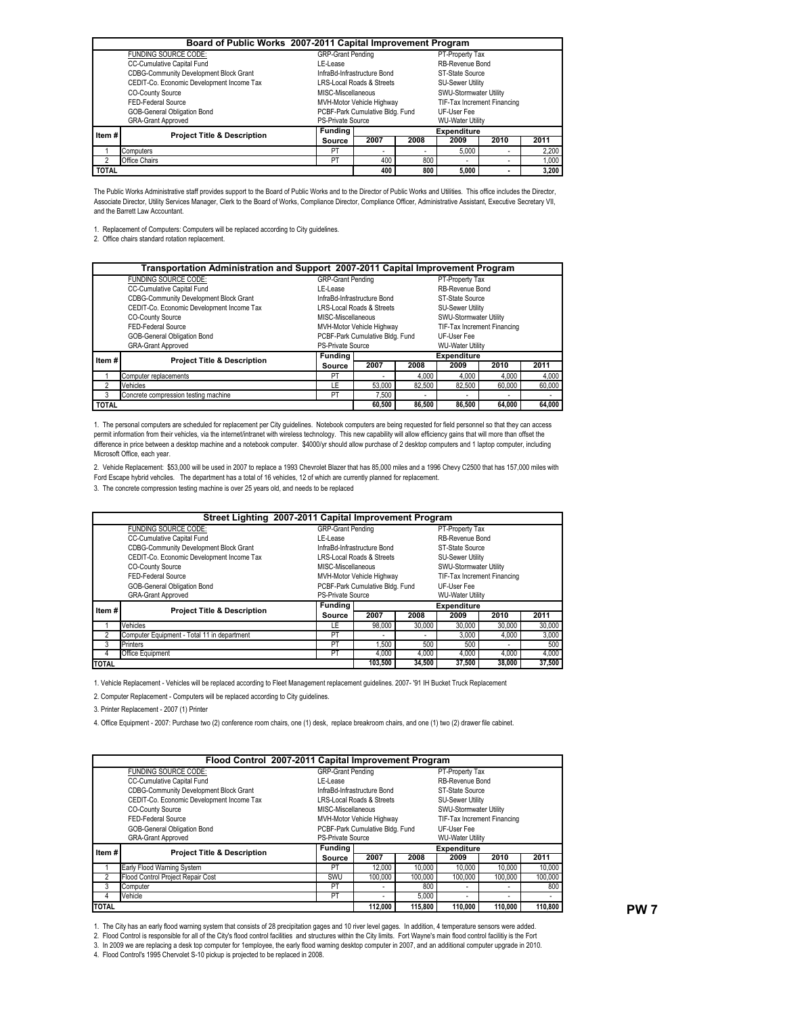|              | Board of Public Works 2007-2011 Capital Improvement Program |                          |                                 |      |                          |                             |       |
|--------------|-------------------------------------------------------------|--------------------------|---------------------------------|------|--------------------------|-----------------------------|-------|
|              | <b>FUNDING SOURCE CODE:</b>                                 | <b>GRP-Grant Pending</b> |                                 |      | PT-Property Tax          |                             |       |
|              | CC-Cumulative Capital Fund                                  | LE-Lease                 |                                 |      | RB-Revenue Bond          |                             |       |
|              | <b>CDBG-Community Development Block Grant</b>               |                          | InfraBd-Infrastructure Bond     |      | ST-State Source          |                             |       |
|              | CEDIT-Co. Economic Development Income Tax                   |                          | LRS-Local Roads & Streets       |      | <b>SU-Sewer Utility</b>  |                             |       |
|              | CO-County Source                                            | MISC-Miscellaneous       |                                 |      | SWU-Stormwater Utility   |                             |       |
|              | FED-Federal Source                                          |                          | MVH-Motor Vehicle Highway       |      |                          | TIF-Tax Increment Financing |       |
|              | GOB-General Obligation Bond                                 |                          | PCBF-Park Cumulative Bldg. Fund |      | UF-User Fee              |                             |       |
|              | <b>GRA-Grant Approved</b>                                   | PS-Private Source        |                                 |      | <b>WU-Water Utility</b>  |                             |       |
| Item#        | <b>Project Title &amp; Description</b>                      | <b>Funding</b>           |                                 |      | <b>Expenditure</b>       |                             |       |
|              |                                                             | Source                   | 2007                            | 2008 | 2009                     | 2010                        | 2011  |
|              | Computers                                                   | PT                       | $\overline{\phantom{a}}$        |      | 5.000                    | $\overline{\phantom{a}}$    | 2,200 |
| 2            | Office Chairs                                               | PT                       | 400                             | 800  | $\overline{\phantom{a}}$ | ٠                           | 1,000 |
| <b>TOTAL</b> |                                                             |                          | 400                             | 800  | 5.000                    |                             | 3,200 |

The Public Works Administrative staff provides support to the Board of Public Works and to the Director of Public Works and Utilities. This office includes the Director, Associate Director, Utility Services Manager, Clerk to the Board of Works, Compliance Director, Compliance Officer, Administrative Assistant, Executive Secretary VII, and the Barrett Law Accountant.

1. Replacement of Computers: Computers will be replaced according to City guidelines. 2. Office chairs standard rotation replacement.

|                | Transportation Administration and Support 2007-2011 Capital Improvement Program |                                      |                                 |                          |                         |        |        |  |  |  |  |  |
|----------------|---------------------------------------------------------------------------------|--------------------------------------|---------------------------------|--------------------------|-------------------------|--------|--------|--|--|--|--|--|
|                | <b>FUNDING SOURCE CODE:</b>                                                     | <b>GRP-Grant Pending</b>             |                                 | PT-Property Tax          |                         |        |        |  |  |  |  |  |
|                | CC-Cumulative Capital Fund                                                      | LE-Lease                             |                                 |                          | RB-Revenue Bond         |        |        |  |  |  |  |  |
|                | CDBG-Community Development Block Grant                                          |                                      | InfraBd-Infrastructure Bond     | ST-State Source          |                         |        |        |  |  |  |  |  |
|                | CEDIT-Co. Economic Development Income Tax                                       | <b>LRS-Local Roads &amp; Streets</b> | <b>SU-Sewer Utility</b>         |                          |                         |        |        |  |  |  |  |  |
|                | <b>CO-County Source</b>                                                         | MISC-Miscellaneous                   |                                 |                          | SWU-Stormwater Utility  |        |        |  |  |  |  |  |
|                | FED-Federal Source                                                              | MVH-Motor Vehicle Highway            | TIF-Tax Increment Financing     |                          |                         |        |        |  |  |  |  |  |
|                | GOB-General Obligation Bond                                                     |                                      | PCBF-Park Cumulative Bldg. Fund |                          | UF-User Fee             |        |        |  |  |  |  |  |
|                | <b>GRA-Grant Approved</b>                                                       | PS-Private Source                    |                                 |                          | <b>WU-Water Utility</b> |        |        |  |  |  |  |  |
| Item#          | <b>Project Title &amp; Description</b>                                          | Fundina                              |                                 |                          | <b>Expenditure</b>      |        |        |  |  |  |  |  |
|                |                                                                                 | Source                               | 2007                            | 2008                     | 2009                    | 2010   | 2011   |  |  |  |  |  |
|                | Computer replacements                                                           | PT                                   | ٠                               | 4,000                    | 4.000                   | 4.000  | 4,000  |  |  |  |  |  |
| $\overline{2}$ | Vehicles                                                                        | LE                                   | 53,000                          | 82,500                   | 82,500                  | 60,000 | 60.000 |  |  |  |  |  |
| 3              | Concrete compression testing machine                                            | PT                                   | 7.500                           | $\overline{\phantom{a}}$ |                         | ٠      |        |  |  |  |  |  |
| <b>TOTAL</b>   |                                                                                 |                                      | 60,500                          | 86.500                   | 86.500                  | 64.000 | 64.000 |  |  |  |  |  |

1. The personal computers are scheduled for replacement per City guidelines. Notebook computers are being requested for field personnel so that they can access<br>permit information from their vehicles, via the internef/intra Microsoft Office, each year.

2. Vehicle Replacement: \$53,000 will be used in 2007 to replace a 1993 Chevrolet Blazer that has 85,000 miles and a 1996 Chevy C2500 that has 157,000 miles with Ford Escape hybrid vehciles. The department has a total of 16 vehicles, 12 of which are currently planned for replacement.

3. The concrete compression testing machine is over 25 years old, and needs to be replaced

|              |                                             | Street Lighting 2007-2011 Capital Improvement Program |                                                          |        |                         |                          |        |  |  |  |
|--------------|---------------------------------------------|-------------------------------------------------------|----------------------------------------------------------|--------|-------------------------|--------------------------|--------|--|--|--|
|              | <b>FUNDING SOURCE CODE:</b>                 | <b>GRP-Grant Pending</b>                              |                                                          |        | PT-Property Tax         |                          |        |  |  |  |
|              | CC-Cumulative Capital Fund                  | LE-Lease                                              |                                                          |        | RB-Revenue Bond         |                          |        |  |  |  |
|              | CDBG-Community Development Block Grant      |                                                       | InfraBd-Infrastructure Bond                              |        | ST-State Source         |                          |        |  |  |  |
|              | CEDIT-Co. Economic Development Income Tax   |                                                       | <b>LRS-Local Roads &amp; Streets</b>                     |        | <b>SU-Sewer Utility</b> |                          |        |  |  |  |
|              | <b>CO-County Source</b>                     | MISC-Miscellaneous                                    |                                                          |        | SWU-Stormwater Utility  |                          |        |  |  |  |
|              | FED-Federal Source                          |                                                       | MVH-Motor Vehicle Highway<br>TIF-Tax Increment Financing |        |                         |                          |        |  |  |  |
|              | GOB-General Obligation Bond                 |                                                       | PCBF-Park Cumulative Bldg. Fund<br>UF-User Fee           |        |                         |                          |        |  |  |  |
|              | <b>GRA-Grant Approved</b>                   | PS-Private Source                                     |                                                          |        | <b>WU-Water Utility</b> |                          |        |  |  |  |
| Item#        | <b>Project Title &amp; Description</b>      | <b>Funding</b>                                        |                                                          |        | <b>Expenditure</b>      |                          |        |  |  |  |
|              |                                             | Source                                                | 2007                                                     | 2008   | 2009                    | 2010                     | 2011   |  |  |  |
|              | Vehicles                                    | LE                                                    | 98,000                                                   | 30,000 | 30,000                  | 30,000                   | 30,000 |  |  |  |
|              | Computer Equipment - Total 11 in department | PT                                                    | ۰                                                        |        | 3.000                   | 4.000                    | 3,000  |  |  |  |
| 3            | Printers                                    | PT                                                    | 1.500                                                    | 500    | 500                     | $\overline{\phantom{a}}$ | 500    |  |  |  |
| 4            | <b>Office Equipment</b>                     | PT                                                    | 4,000                                                    | 4,000  | 4,000                   | 4,000                    | 4,000  |  |  |  |
| <b>TOTAL</b> |                                             |                                                       | 103,500                                                  | 34.500 | 37.500                  | 38,000                   | 37,500 |  |  |  |

1. Vehicle Replacement - Vehicles will be replaced according to Fleet Management replacement guidelines. 2007- '91 IH Bucket Truck Replacement

2. Computer Replacement - Computers will be replaced according to City guidelines.

3. Printer Replacement - 2007 (1) Printer

4. Office Equipment - 2007: Purchase two (2) conference room chairs, one (1) desk, replace breakroom chairs, and one (1) two (2) drawer file cabinet.

|                | Flood Control 2007-2011 Capital Improvement Program |                                      |                                 |         |                             |         |         |
|----------------|-----------------------------------------------------|--------------------------------------|---------------------------------|---------|-----------------------------|---------|---------|
|                | <b>FUNDING SOURCE CODE:</b>                         | <b>GRP-Grant Pending</b>             |                                 |         | PT-Property Tax             |         |         |
|                | CC-Cumulative Capital Fund                          | LE-Lease                             |                                 |         | RB-Revenue Bond             |         |         |
|                | CDBG-Community Development Block Grant              | InfraBd-Infrastructure Bond          | ST-State Source                 |         |                             |         |         |
|                | CEDIT-Co. Economic Development Income Tax           | <b>LRS-Local Roads &amp; Streets</b> | <b>SU-Sewer Utility</b>         |         |                             |         |         |
|                | <b>CO-County Source</b>                             | MISC-Miscellaneous                   |                                 |         | SWU-Stormwater Utility      |         |         |
|                | FED-Federal Source                                  |                                      | MVH-Motor Vehicle Highway       |         | TIF-Tax Increment Financing |         |         |
|                | GOB-General Obligation Bond                         |                                      | PCBF-Park Cumulative Bldg. Fund |         | UF-User Fee                 |         |         |
|                | <b>GRA-Grant Approved</b>                           | PS-Private Source                    |                                 |         | <b>WU-Water Utility</b>     |         |         |
| Item#          | <b>Project Title &amp; Description</b>              | <b>Funding</b>                       |                                 |         | <b>Expenditure</b>          |         |         |
|                |                                                     | Source                               | 2007                            | 2008    | 2009                        | 2010    | 2011    |
|                | Early Flood Warning System                          | PT                                   | 12,000                          | 10.000  | 10.000                      | 10.000  | 10.000  |
| $\overline{2}$ | Flood Control Project Repair Cost                   | SWU                                  | 100,000                         | 100.000 | 100.000                     | 100.000 | 100,000 |
| 3              | Computer                                            | PT                                   |                                 | 800     | ۰                           |         | 800     |
| 4              | Vehicle                                             | PT                                   |                                 | 5,000   | ۰                           |         |         |
| <b>TOTAL</b>   |                                                     |                                      | 112.000                         | 115.800 | 110.000                     | 110.000 | 110.800 |

1. The City has an early flood warning system that consists of 28 precipitation gages and 10 river level gages. In addition, 4 temperature sensors were added.

2. Flood Control is responsible for all of the City's flood control facilities and structures within the City limits. Fort Wayne's main flood control facilitiy is the Fort

3. In 2009 we are replacing a desk top computer for 1employee, the early flood warning desktop computer in 2007, and an additional computer upgrade in 2010.<br>4. Flood Control's 1995 Chervolet S-10 pickup is projected to be